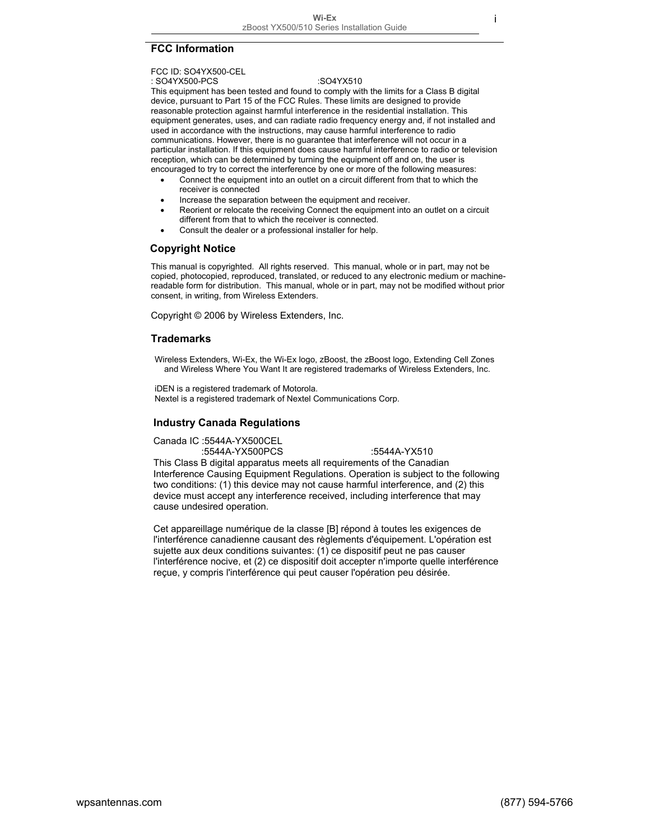## **FCC Information**

#### FCC ID: SO4YX500-CEL

#### : SO4YX500-PCS : SO4YX510

This equipment has been tested and found to comply with the limits for a Class B digital device, pursuant to Part 15 of the FCC Rules. These limits are designed to provide reasonable protection against harmful interference in the residential installation. This equipment generates, uses, and can radiate radio frequency energy and, if not installed and used in accordance with the instructions, may cause harmful interference to radio communications. However, there is no guarantee that interference will not occur in a particular installation. If this equipment does cause harmful interference to radio or television reception, which can be determined by turning the equipment off and on, the user is encouraged to try to correct the interference by one or more of the following measures:

- Connect the equipment into an outlet on a circuit different from that to which the receiver is connected
- Increase the separation between the equipment and receiver.
- Reorient or relocate the receiving Connect the equipment into an outlet on a circuit different from that to which the receiver is connected.
- Consult the dealer or a professional installer for help.

## **Copyright Notice**

This manual is copyrighted. All rights reserved. This manual, whole or in part, may not be copied, photocopied, reproduced, translated, or reduced to any electronic medium or machinereadable form for distribution. This manual, whole or in part, may not be modified without prior consent, in writing, from Wireless Extenders.

Copyright © 2006 by Wireless Extenders, Inc.

## **Trademarks**

Wireless Extenders, Wi-Ex, the Wi-Ex logo, zBoost, the zBoost logo, Extending Cell Zones and Wireless Where You Want It are registered trademarks of Wireless Extenders, Inc.

iDEN is a registered trademark of Motorola. Nextel is a registered trademark of Nextel Communications Corp.

### **Industry Canada Regulations**

Canada IC :5544A-YX500CEL

:5544A-YX500PCS :5544A-YX510

This Class B digital apparatus meets all requirements of the Canadian Interference Causing Equipment Regulations. Operation is subject to the following two conditions: (1) this device may not cause harmful interference, and (2) this device must accept any interference received, including interference that may cause undesired operation.

Cet appareillage numérique de la classe [B] répond à toutes les exigences de l'interférence canadienne causant des règlements d'équipement. L'opération est sujette aux deux conditions suivantes: (1) ce dispositif peut ne pas causer l'interférence nocive, et (2) ce dispositif doit accepter n'importe quelle interférence reçue, y compris l'interférence qui peut causer l'opération peu désirée.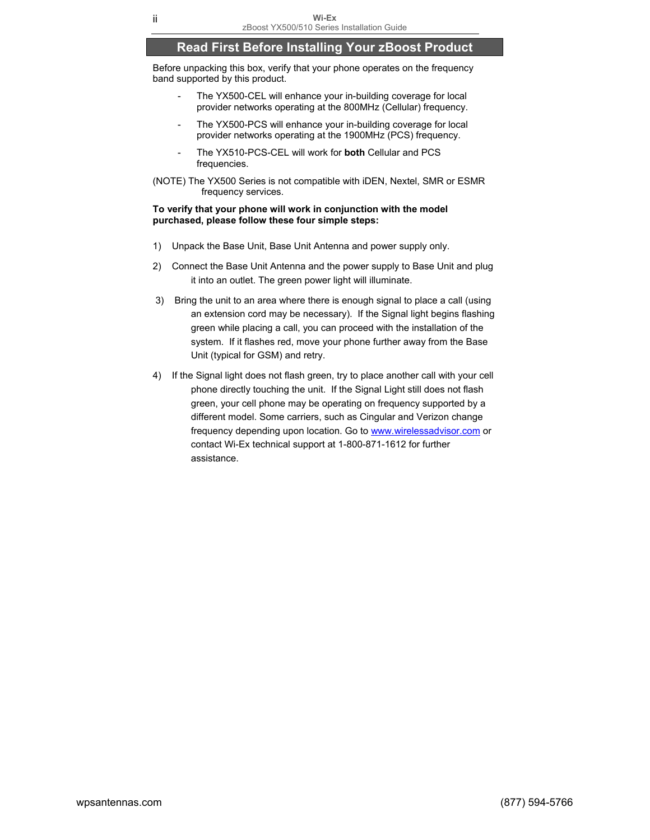# **Read First Before Installing Your zBoost Product**

Before unpacking this box, verify that your phone operates on the frequency band supported by this product.

- The YX500-CEL will enhance your in-building coverage for local provider networks operating at the 800MHz (Cellular) frequency.
- The YX500-PCS will enhance your in-building coverage for local provider networks operating at the 1900MHz (PCS) frequency.
- The YX510-PCS-CEL will work for **both** Cellular and PCS frequencies.
- (NOTE) The YX500 Series is not compatible with iDEN, Nextel, SMR or ESMR frequency services.

#### **To verify that your phone will work in conjunction with the model purchased, please follow these four simple steps:**

- 1) Unpack the Base Unit, Base Unit Antenna and power supply only.
- 2) Connect the Base Unit Antenna and the power supply to Base Unit and plug it into an outlet. The green power light will illuminate.
- 3) Bring the unit to an area where there is enough signal to place a call (using an extension cord may be necessary). If the Signal light begins flashing green while placing a call, you can proceed with the installation of the system. If it flashes red, move your phone further away from the Base Unit (typical for GSM) and retry.
- 4) If the Signal light does not flash green, try to place another call with your cell phone directly touching the unit. If the Signal Light still does not flash green, your cell phone may be operating on frequency supported by a different model. Some carriers, such as Cingular and Verizon change frequency depending upon location. Go to www.wirelessadvisor.com or contact Wi-Ex technical support at 1-800-871-1612 for further assistance.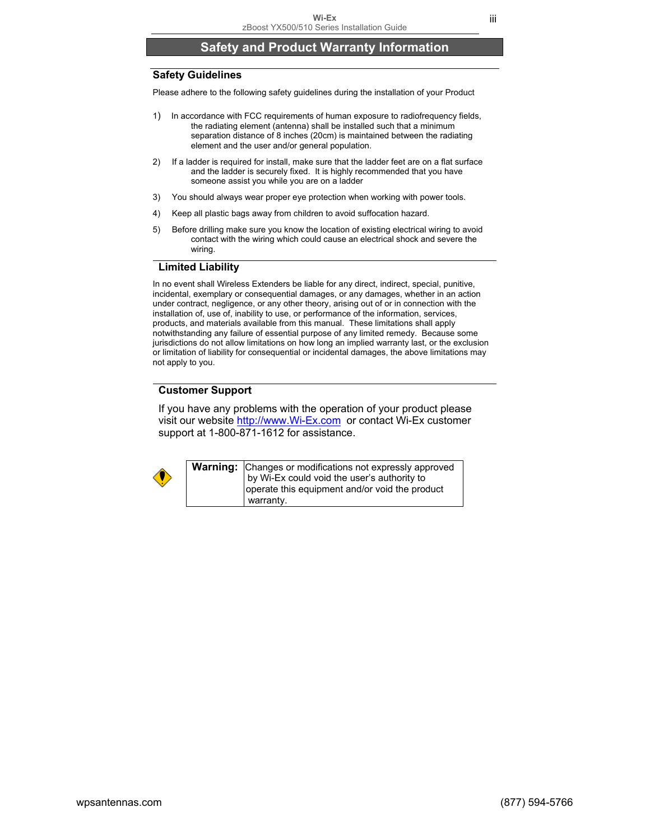# **Safety and Product Warranty Information**

## **Safety Guidelines**

Please adhere to the following safety guidelines during the installation of your Product

- 1) In accordance with FCC requirements of human exposure to radiofrequency fields, the radiating element (antenna) shall be installed such that a minimum separation distance of 8 inches (20cm) is maintained between the radiating element and the user and/or general population.
- 2) If a ladder is required for install, make sure that the ladder feet are on a flat surface and the ladder is securely fixed. It is highly recommended that you have someone assist you while you are on a ladder
- 3) You should always wear proper eye protection when working with power tools.
- 4) Keep all plastic bags away from children to avoid suffocation hazard.
- 5) Before drilling make sure you know the location of existing electrical wiring to avoid contact with the wiring which could cause an electrical shock and severe the wiring.

### **Limited Liability**

In no event shall Wireless Extenders be liable for any direct, indirect, special, punitive, incidental, exemplary or consequential damages, or any damages, whether in an action under contract, negligence, or any other theory, arising out of or in connection with the installation of, use of, inability to use, or performance of the information, services, products, and materials available from this manual. These limitations shall apply notwithstanding any failure of essential purpose of any limited remedy. Because some jurisdictions do not allow limitations on how long an implied warranty last, or the exclusion or limitation of liability for consequential or incidental damages, the above limitations may not apply to you.

## **Customer Support**

If you have any problems with the operation of your product please visit our website http://www.Wi-Ex.com or contact Wi-Ex customer support at 1-800-871-1612 for assistance.



**Warning:** Changes or modifications not expressly approved by Wi-Ex could void the user's authority to operate this equipment and/or void the product warranty.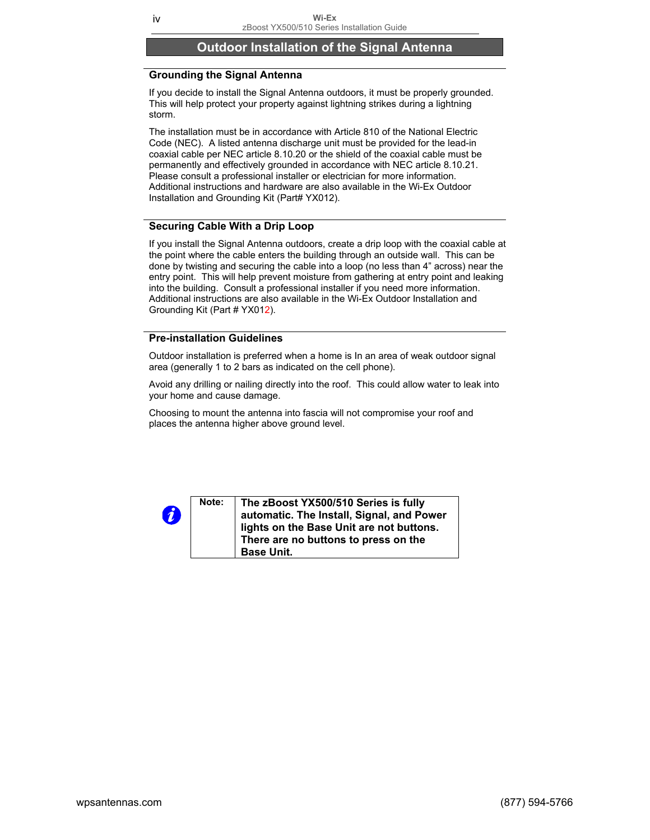# **Outdoor Installation of the Signal Antenna**

## **Grounding the Signal Antenna**

If you decide to install the Signal Antenna outdoors, it must be properly grounded. This will help protect your property against lightning strikes during a lightning storm.

The installation must be in accordance with Article 810 of the National Electric Code (NEC). A listed antenna discharge unit must be provided for the lead-in coaxial cable per NEC article 8.10.20 or the shield of the coaxial cable must be permanently and effectively grounded in accordance with NEC article 8.10.21. Please consult a professional installer or electrician for more information. Additional instructions and hardware are also available in the Wi-Ex Outdoor Installation and Grounding Kit (Part# YX012).

## **Securing Cable With a Drip Loop**

If you install the Signal Antenna outdoors, create a drip loop with the coaxial cable at the point where the cable enters the building through an outside wall. This can be done by twisting and securing the cable into a loop (no less than 4" across) near the entry point. This will help prevent moisture from gathering at entry point and leaking into the building. Consult a professional installer if you need more information. Additional instructions are also available in the Wi-Ex Outdoor Installation and Grounding Kit (Part # YX012).

## **Pre-installation Guidelines**

Outdoor installation is preferred when a home is In an area of weak outdoor signal area (generally 1 to 2 bars as indicated on the cell phone).

Avoid any drilling or nailing directly into the roof. This could allow water to leak into your home and cause damage.

Choosing to mount the antenna into fascia will not compromise your roof and places the antenna higher above ground level.

| 0 | Note: | The zBoost YX500/510 Series is fully<br>automatic. The Install, Signal, and Power<br>lights on the Base Unit are not buttons.<br>There are no buttons to press on the<br><b>Base Unit.</b> |
|---|-------|--------------------------------------------------------------------------------------------------------------------------------------------------------------------------------------------|
|---|-------|--------------------------------------------------------------------------------------------------------------------------------------------------------------------------------------------|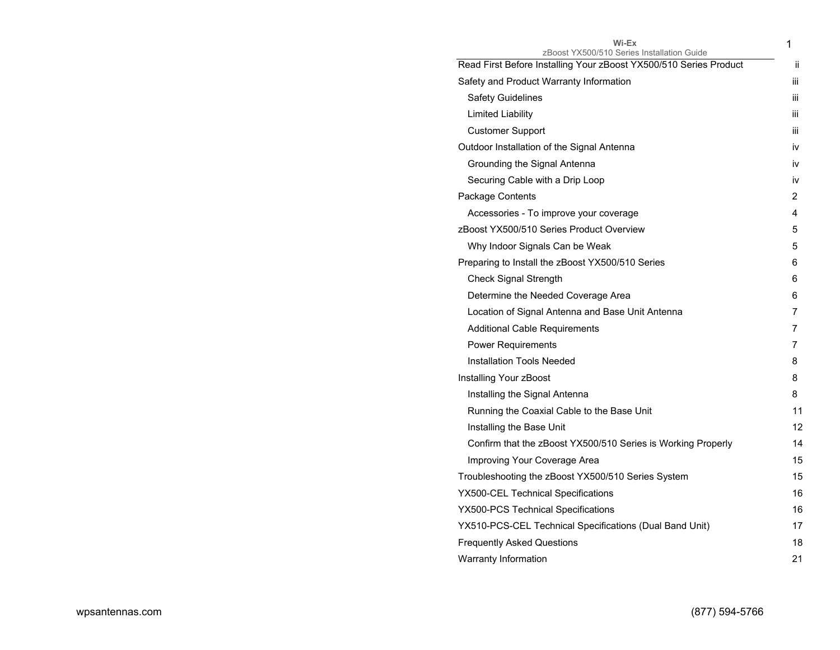| Wi-Ex<br>zBoost YX500/510 Series Installation Guide               | 1   |
|-------------------------------------------------------------------|-----|
| Read First Before Installing Your zBoost YX500/510 Series Product | ii. |
| Safety and Product Warranty Information                           | Ш   |
| <b>Safety Guidelines</b>                                          | Ш   |
| Limited Liability                                                 | iii |
| <b>Customer Support</b>                                           | iіі |
| Outdoor Installation of the Signal Antenna                        | iv  |
| Grounding the Signal Antenna                                      | İV  |
| Securing Cable with a Drip Loop                                   | iv  |
| Package Contents                                                  | 2   |
| Accessories - To improve your coverage                            | 4   |
| zBoost YX500/510 Series Product Overview                          | 5   |
| Why Indoor Signals Can be Weak                                    | 5   |
| Preparing to Install the zBoost YX500/510 Series                  | 6   |
| Check Signal Strength                                             | 6   |
| Determine the Needed Coverage Area                                | 6   |
| Location of Signal Antenna and Base Unit Antenna                  | 7   |
| <b>Additional Cable Requirements</b>                              | 7   |
| <b>Power Requirements</b>                                         | 7   |
| Installation Tools Needed                                         | 8   |
| Installing Your zBoost                                            | 8   |
| Installing the Signal Antenna                                     | 8   |
| Running the Coaxial Cable to the Base Unit                        | 11  |
| Installing the Base Unit                                          | 12  |
| Confirm that the zBoost YX500/510 Series is Working Properly      | 14  |
| Improving Your Coverage Area                                      | 15  |
| Troubleshooting the zBoost YX500/510 Series System                | 15  |
| YX500-CEL Technical Specifications                                | 16  |
| YX500-PCS Technical Specifications                                | 16  |
| YX510-PCS-CEL Technical Specifications (Dual Band Unit)           | 17  |
| <b>Frequently Asked Questions</b>                                 | 18  |
| Warranty Information                                              | 21  |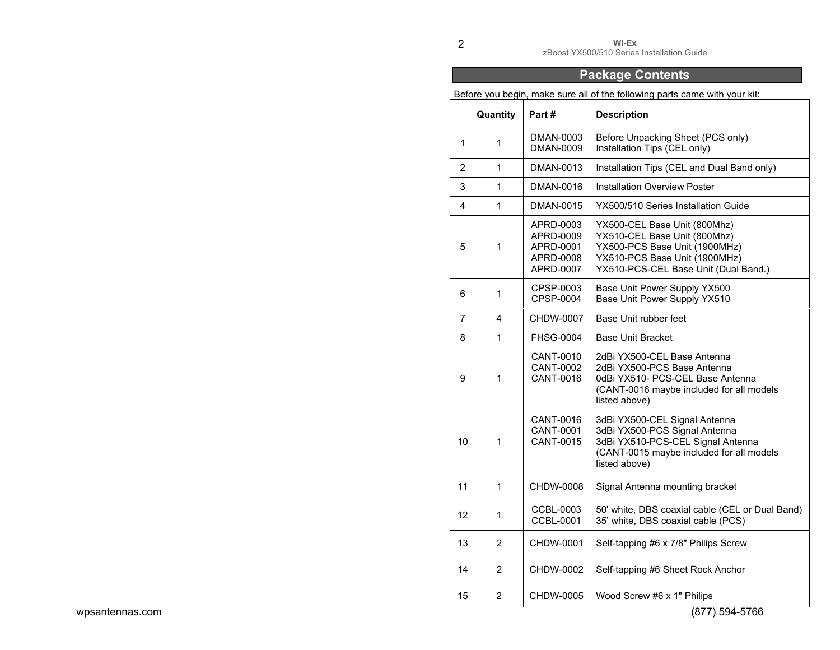**Wi-Ex**  zBoost YX500/510 Series Installation Guide

# **Package Contents**

Before you begin, make sure all of the following parts came with your kit:

|                 |                | <b>Quantity</b> | Part#                                                         | <b>Description</b>                                                                                                                                                     |
|-----------------|----------------|-----------------|---------------------------------------------------------------|------------------------------------------------------------------------------------------------------------------------------------------------------------------------|
|                 | $\mathbf{1}$   | 1               | DMAN-0003<br><b>DMAN-0009</b>                                 | Before Unpacking Sheet (PCS only)<br>Installation Tips (CEL only)                                                                                                      |
|                 | $\overline{2}$ | $\mathbf{1}$    | DMAN-0013                                                     | Installation Tips (CEL and Dual Band only)                                                                                                                             |
|                 | 3              | $\mathbf{1}$    | DMAN-0016                                                     | <b>Installation Overview Poster</b>                                                                                                                                    |
|                 | 4              | $\mathbf{1}$    | DMAN-0015                                                     | YX500/510 Series Installation Guide                                                                                                                                    |
|                 | 5              | 1               | APRD-0003<br>APRD-0009<br>APRD-0001<br>APRD-0008<br>APRD-0007 | YX500-CEL Base Unit (800Mhz)<br>YX510-CEL Base Unit (800Mhz)<br>YX500-PCS Base Unit (1900MHz)<br>YX510-PCS Base Unit (1900MHz)<br>YX510-PCS-CEL Base Unit (Dual Band.) |
|                 | 6              | 1               | CPSP-0003<br>CPSP-0004                                        | Base Unit Power Supply YX500<br>Base Unit Power Supply YX510                                                                                                           |
|                 | $\overline{7}$ | 4               | CHDW-0007                                                     | Base Unit rubber feet                                                                                                                                                  |
|                 | 8              | $\mathbf{1}$    | <b>FHSG-0004</b>                                              | <b>Base Unit Bracket</b>                                                                                                                                               |
|                 | 9              | 1               | CANT-0010<br><b>CANT-0002</b><br>CANT-0016                    | 2dBi YX500-CEL Base Antenna<br>2dBi YX500-PCS Base Antenna<br>0dBi YX510- PCS-CEL Base Antenna<br>(CANT-0016 maybe included for all models<br>listed above)            |
|                 | 10             | 1               | CANT-0016<br><b>CANT-0001</b><br>CANT-0015                    | 3dBi YX500-CEL Signal Antenna<br>3dBi YX500-PCS Signal Antenna<br>3dBi YX510-PCS-CEL Signal Antenna<br>(CANT-0015 maybe included for all models<br>listed above)       |
|                 | 11             | $\mathbf{1}$    | CHDW-0008                                                     | Signal Antenna mounting bracket                                                                                                                                        |
|                 | 12             | $\mathbf{1}$    | CCBL-0003<br><b>CCBL-0001</b>                                 | 50' white, DBS coaxial cable (CEL or Dual Band)<br>35' white, DBS coaxial cable (PCS)                                                                                  |
|                 | 13             | $\overline{2}$  | CHDW-0001                                                     | Self-tapping #6 x 7/8" Philips Screw                                                                                                                                   |
|                 | 14             | $\overline{2}$  | CHDW-0002                                                     | Self-tapping #6 Sheet Rock Anchor                                                                                                                                      |
| wpsantennas.com | 15             | $\overline{c}$  | CHDW-0005                                                     | Wood Screw #6 x 1" Philips<br>(877) 594-5766                                                                                                                           |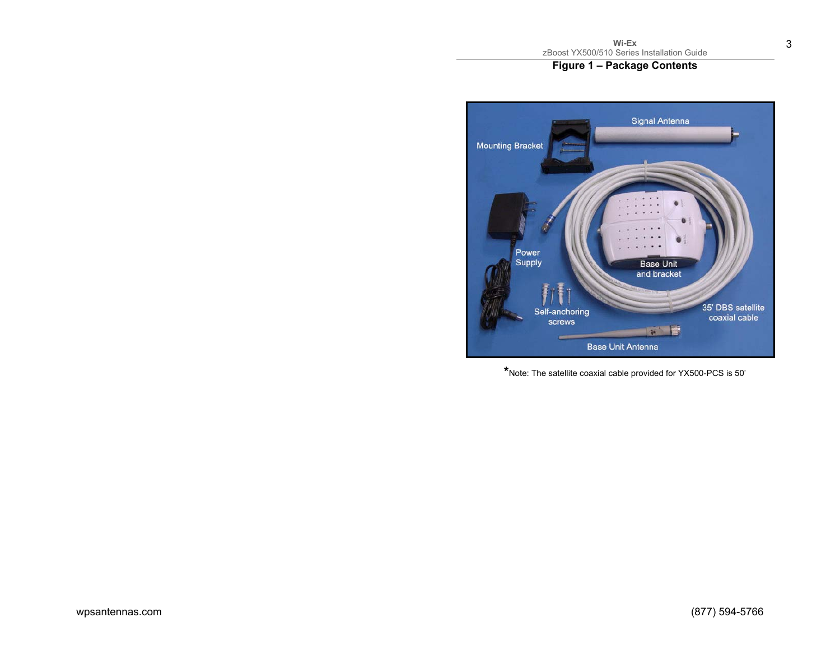# **Figure 1 – Package Contents**



**\***Note: The satellite coaxial cable provided for YX500-PCS is 50'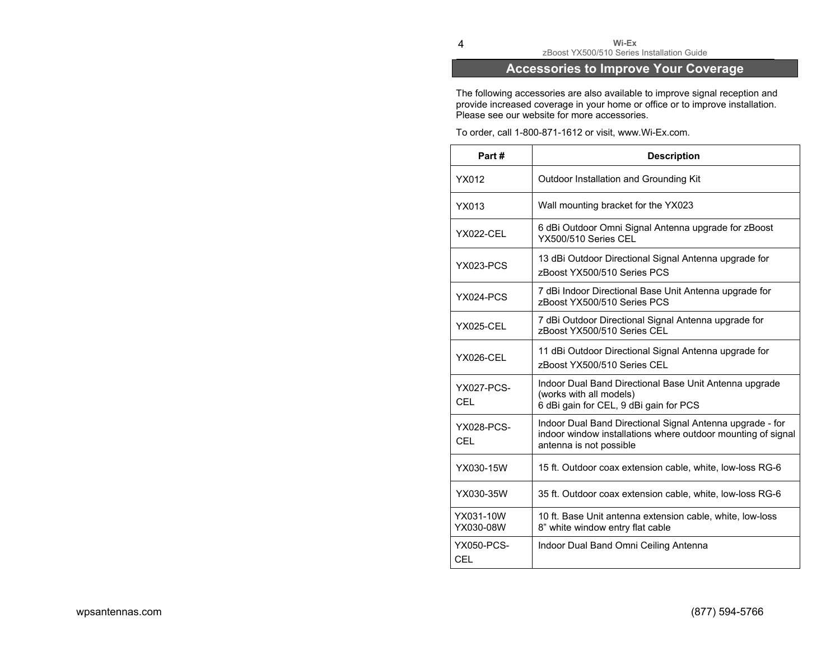# **Accessories to Improve Your Coverage**

The following accessories are also available to improve signal reception and provide increased coverage in your home or office or to improve installation. Please see our website for more accessories.

To order, call 1-800-871-1612 or visit, www.Wi-Ex.com.

| Part#                           | <b>Description</b>                                                                                                                                   |
|---------------------------------|------------------------------------------------------------------------------------------------------------------------------------------------------|
| YX012                           | Outdoor Installation and Grounding Kit                                                                                                               |
| YX013                           | Wall mounting bracket for the YX023                                                                                                                  |
| <b>YX022-CEL</b>                | 6 dBi Outdoor Omni Signal Antenna upgrade for zBoost<br>YX500/510 Series CFL                                                                         |
| <b>YX023-PCS</b>                | 13 dBi Outdoor Directional Signal Antenna upgrade for<br>zBoost YX500/510 Series PCS                                                                 |
| YX024-PCS                       | 7 dBi Indoor Directional Base Unit Antenna upgrade for<br>zBoost YX500/510 Series PCS                                                                |
| <b>YX025-CEL</b>                | 7 dBi Outdoor Directional Signal Antenna upgrade for<br>zBoost YX500/510 Series CEL                                                                  |
| <b>YX026-CEL</b>                | 11 dBi Outdoor Directional Signal Antenna upgrade for<br>zBoost YX500/510 Series CEL                                                                 |
| <b>YX027-PCS-</b><br><b>CEL</b> | Indoor Dual Band Directional Base Unit Antenna upgrade<br>(works with all models)<br>6 dBi gain for CEL, 9 dBi gain for PCS                          |
| <b>YX028-PCS-</b><br>CEL        | Indoor Dual Band Directional Signal Antenna upgrade - for<br>indoor window installations where outdoor mounting of signal<br>antenna is not possible |
| YX030-15W                       | 15 ft. Outdoor coax extension cable, white, low-loss RG-6                                                                                            |
| YX030-35W                       | 35 ft. Outdoor coax extension cable, white, low-loss RG-6                                                                                            |
| YX031-10W<br>YX030-08W          | 10 ft. Base Unit antenna extension cable, white, low-loss<br>8" white window entry flat cable                                                        |
| <b>YX050-PCS-</b><br>CEL        | Indoor Dual Band Omni Ceiling Antenna                                                                                                                |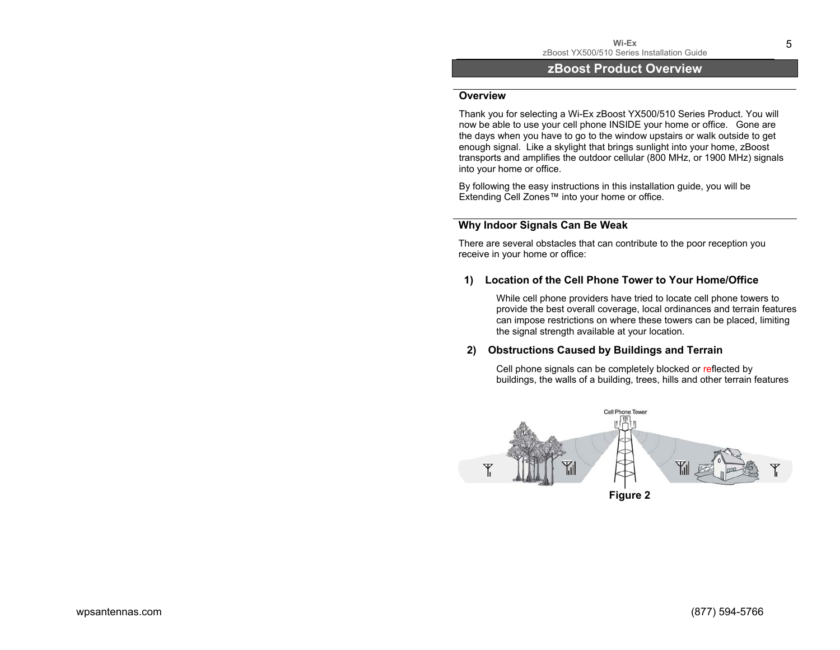## **zBoost Product Overview**

#### **Overview**

Thank you for selecting a Wi-Ex zBoost YX500/510 Series Product. You will now be able to use your cell phone INSIDE your home or office. Gone are the days when you have to go to the window upstairs or walk outside to get enough signal. Like a skylight that brings sunlight into your home, zBoost transports and amplifies the outdoor cellular (800 MHz, or 1900 MHz) signals into your home or office.

By following the easy instructions in this installation guide, you will be Extending Cell Zones™ into your home or office.

## **Why Indoor Signals Can Be Weak**

There are several obstacles that can contribute to the poor reception you receive in your home or office:

### **1) Location of the Cell Phone Tower to Your Home/Office**

While cell phone providers have tried to locate cell phone towers to provide the best overall coverage, local ordinances and terrain features can impose restrictions on where these towers can be placed, limiting the signal strength available at your location.

## **2) Obstructions Caused by Buildings and Terrain**

Cell phone signals can be completely blocked or reflected by buildings, the walls of a building, trees, hills and other terrain features



**Figure 2**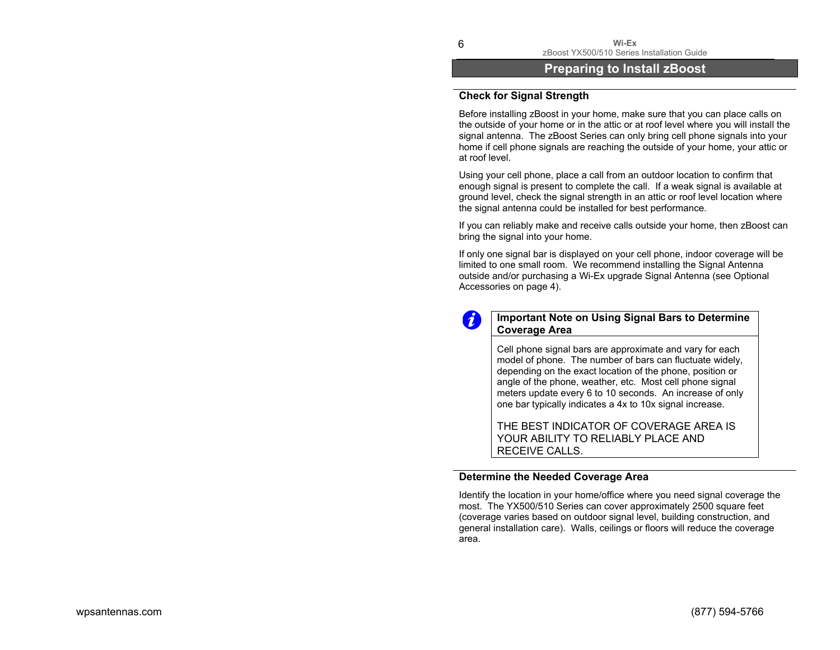**Wi-Ex** zBoost YX500/510 Series Installation Guide

# **Preparing to Install zBoost**

## **Check for Signal Strength**

Before installing zBoost in your home, make sure that you can place calls on the outside of your home or in the attic or at roof level where you will install the signal antenna. The zBoost Series can only bring cell phone signals into your home if cell phone signals are reaching the outside of your home, your attic or at roof level.

Using your cell phone, place a call from an outdoor location to confirm that enough signal is present to complete the call. If a weak signal is available at ground level, check the signal strength in an attic or roof level location where the signal antenna could be installed for best performance.

If you can reliably make and receive calls outside your home, then zBoost can bring the signal into your home.

If only one signal bar is displayed on your cell phone, indoor coverage will be limited to one small room. We recommend installing the Signal Antenna outside and/or purchasing a Wi-Ex upgrade Signal Antenna (see Optional Accessories on page 4).



## **Important Note on Using Signal Bars to Determine Coverage Area**

Cell phone signal bars are approximate and vary for each model of phone. The number of bars can fluctuate widely, depending on the exact location of the phone, position or angle of the phone, weather, etc. Most cell phone signal meters update every 6 to 10 seconds. An increase of only one bar typically indicates a 4x to 10x signal increase.

THE BEST INDICATOR OF COVERAGE AREA IS YOUR ABILITY TO RELIABLY PLACE AND RECEIVE CALLS.

### **Determine the Needed Coverage Area**

Identify the location in your home/office where you need signal coverage the most. The YX500/510 Series can cover approximately 2500 square feet (coverage varies based on outdoor signal level, building construction, and general installation care). Walls, ceilings or floors will reduce the coverage area.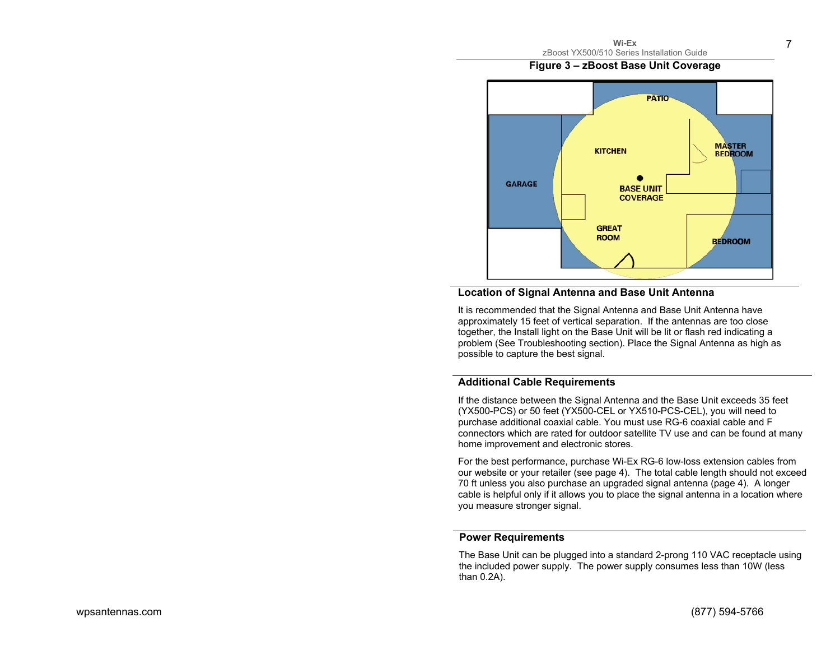7

# **Figure 3 – zBoost Base Unit Coverage**



## **Location of Signal Antenna and Base Unit Antenna**

It is recommended that the Signal Antenna and Base Unit Antenna have approximately 15 feet of vertical separation. If the antennas are too close together, the Install light on the Base Unit will be lit or flash red indicating a problem (See Troubleshooting section). Place the Signal Antenna as high as possible to capture the best signal.

## **Additional Cable Requirements**

If the distance between the Signal Antenna and the Base Unit exceeds 35 feet (YX500-PCS) or 50 feet (YX500-CEL or YX510-PCS-CEL), you will need to purchase additional coaxial cable. You must use RG-6 coaxial cable and F connectors which are rated for outdoor satellite TV use and can be found at many home improvement and electronic stores.

For the best performance, purchase Wi-Ex RG-6 low-loss extension cables from our website or your retailer (see page 4). The total cable length should not exceed 70 ft unless you also purchase an upgraded signal antenna (page 4). A longer cable is helpful only if it allows you to place the signal antenna in a location where you measure stronger signal.

## **Power Requirements**

 The Base Unit can be plugged into a standard 2-prong 110 VAC receptacle using the included power supply. The power supply consumes less than 10W (less than 0.2A).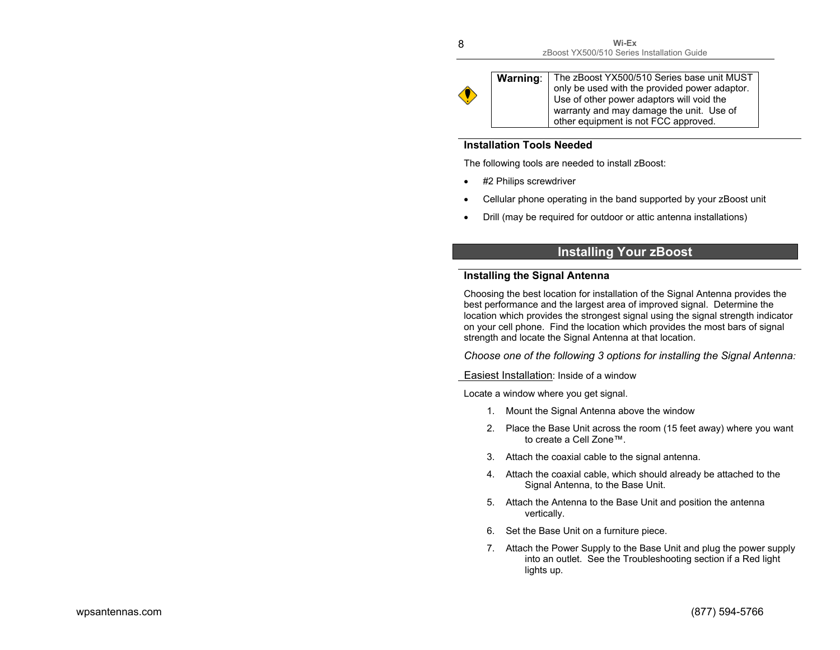

Warning: The zBoost YX500/510 Series base unit MUST only be used with the provided power adaptor. Use of other power adaptors will void the warranty and may damage the unit. Use of other equipment is not FCC approved.

### **Installation Tools Needed**

The following tools are needed to install zBoost:

- #2 Philips screwdriver
- Cellular phone operating in the band supported by your zBoost unit
- Drill (may be required for outdoor or attic antenna installations)

# **Installing Your zBoost**

## **Installing the Signal Antenna**

Choosing the best location for installation of the Signal Antenna provides the best performance and the largest area of improved signal. Determine the location which provides the strongest signal using the signal strength indicator on your cell phone. Find the location which provides the most bars of signal strength and locate the Signal Antenna at that location.

*Choose one of the following 3 options for installing the Signal Antenna:* 

Easiest Installation: Inside of a window

Locate a window where you get signal.

- 1. Mount the Signal Antenna above the window
- 2. Place the Base Unit across the room (15 feet away) where you want to create a Cell Zone™.
- 3. Attach the coaxial cable to the signal antenna.
- 4. Attach the coaxial cable, which should already be attached to the Signal Antenna, to the Base Unit.
- 5. Attach the Antenna to the Base Unit and position the antenna vertically.
- 6. Set the Base Unit on a furniture piece.
- 7. Attach the Power Supply to the Base Unit and plug the power supply into an outlet. See the Troubleshooting section if a Red light lights up.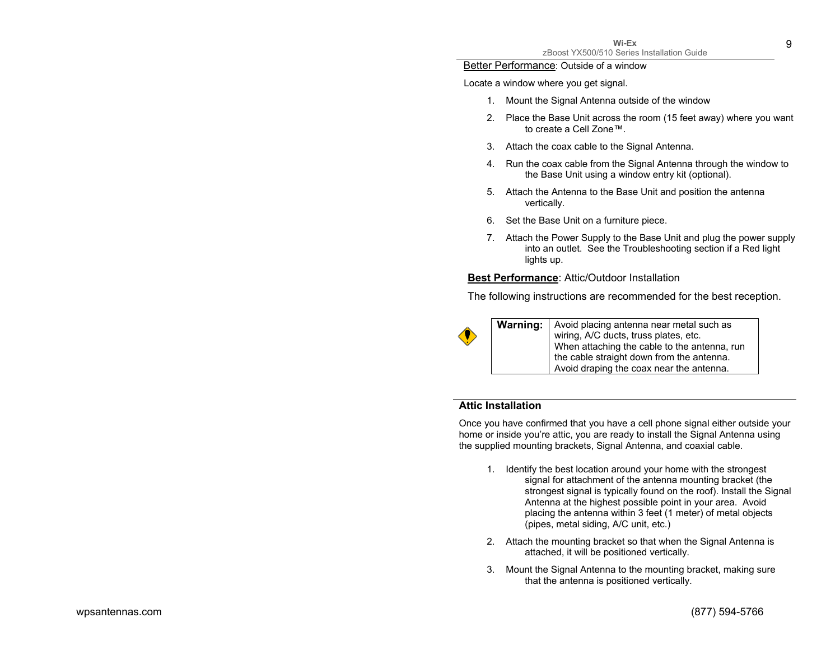#### Better Performance: Outside of a window

Locate a window where you get signal.

- 1. Mount the Signal Antenna outside of the window
- 2. Place the Base Unit across the room (15 feet away) where you want to create a Cell Zone™.
- 3. Attach the coax cable to the Signal Antenna.
- 4. Run the coax cable from the Signal Antenna through the window to the Base Unit using a window entry kit (optional).
- 5. Attach the Antenna to the Base Unit and position the antenna vertically.
- 6. Set the Base Unit on a furniture piece.
- 7. Attach the Power Supply to the Base Unit and plug the power supply into an outlet. See the Troubleshooting section if a Red light lights up.

#### **Best Performance**: Attic/Outdoor Installation

The following instructions are recommended for the best reception.



**Warning:** Avoid placing antenna near metal such as wiring, A/C ducts, truss plates, etc. When attaching the cable to the antenna, run the cable straight down from the antenna. Avoid draping the coax near the antenna.

## **Attic Installation**

Once you have confirmed that you have a cell phone signal either outside your home or inside you're attic, you are ready to install the Signal Antenna using the supplied mounting brackets, Signal Antenna, and coaxial cable.

- 1. Identify the best location around your home with the strongest signal for attachment of the antenna mounting bracket (the strongest signal is typically found on the roof). Install the Signal Antenna at the highest possible point in your area. Avoid placing the antenna within 3 feet (1 meter) of metal objects (pipes, metal siding, A/C unit, etc.)
- 2. Attach the mounting bracket so that when the Signal Antenna is attached, it will be positioned vertically.
- 3. Mount the Signal Antenna to the mounting bracket, making sure that the antenna is positioned vertically.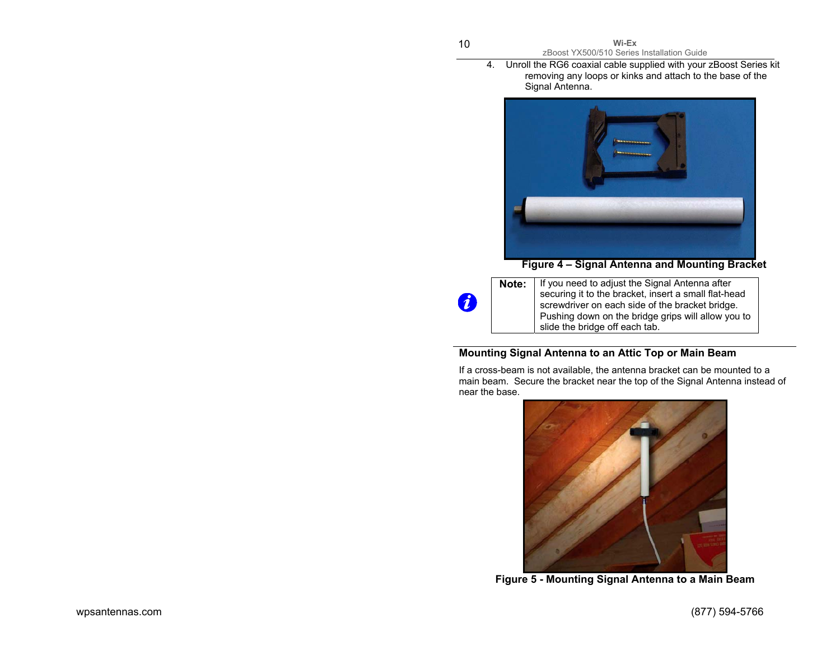4. Unroll the RG6 coaxial cable supplied with your zBoost Series kit removing any loops or kinks and attach to the base of the Signal Antenna.



**Figure 4 – Signal Antenna and Mounting Bracket** 

**Note:** | If you need to adjust the Signal Antenna after securing it to the bracket, insert a small flat-head screwdriver on each side of the bracket bridge. Pushing down on the bridge grips will allow you to slide the bridge off each tab.

# **Mounting Signal Antenna to an Attic Top or Main Beam**

If a cross-beam is not available, the antenna bracket can be mounted to a main beam. Secure the bracket near the top of the Signal Antenna instead of near the base.



**Figure 5 - Mounting Signal Antenna to a Main Beam** 

 $\boldsymbol{\theta}$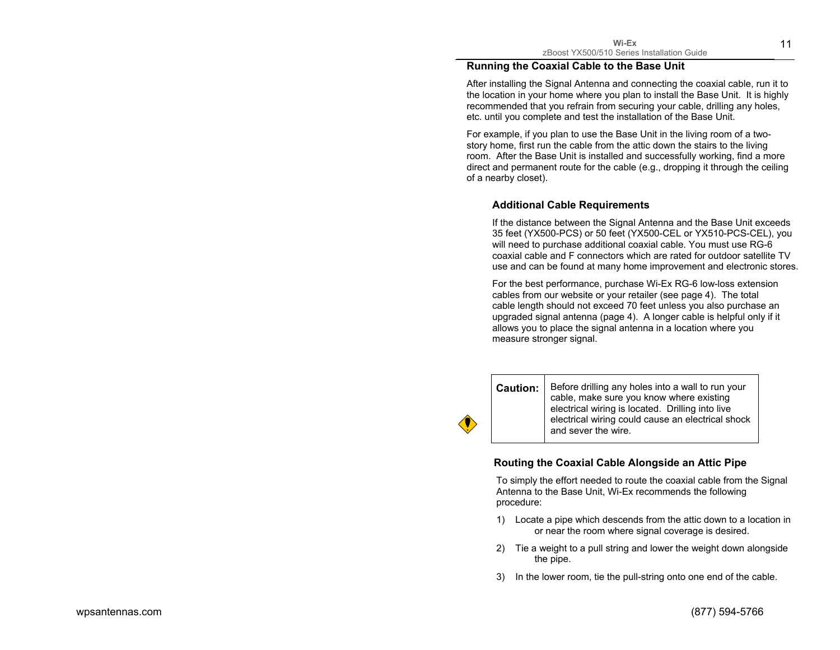11

#### **Running the Coaxial Cable to the Base Unit**

After installing the Signal Antenna and connecting the coaxial cable, run it to the location in your home where you plan to install the Base Unit. It is highly recommended that you refrain from securing your cable, drilling any holes, etc. until you complete and test the installation of the Base Unit.

For example, if you plan to use the Base Unit in the living room of a twostory home, first run the cable from the attic down the stairs to the living room. After the Base Unit is installed and successfully working, find a more direct and permanent route for the cable (e.g., dropping it through the ceiling of a nearby closet).

#### **Additional Cable Requirements**

If the distance between the Signal Antenna and the Base Unit exceeds 35 feet (YX500-PCS) or 50 feet (YX500-CEL or YX510-PCS-CEL), you will need to purchase additional coaxial cable. You must use RG-6 coaxial cable and F connectors which are rated for outdoor satellite TV use and can be found at many home improvement and electronic stores.

For the best performance, purchase Wi-Ex RG-6 low-loss extension cables from our website or your retailer (see page 4). The total cable length should not exceed 70 feet unless you also purchase an upgraded signal antenna (page 4). A longer cable is helpful only if it allows you to place the signal antenna in a location where you measure stronger signal.

**Caution:** Before drilling any holes into a wall to run your cable, make sure you know where existing electrical wiring is located. Drilling into live electrical wiring could cause an electrical shock and sever the wire.

### **Routing the Coaxial Cable Alongside an Attic Pipe**

To simply the effort needed to route the coaxial cable from the Signal Antenna to the Base Unit, Wi-Ex recommends the following procedure:

- 1) Locate a pipe which descends from the attic down to a location in or near the room where signal coverage is desired.
- 2) Tie a weight to a pull string and lower the weight down alongside the pipe.
- 3) In the lower room, tie the pull-string onto one end of the cable.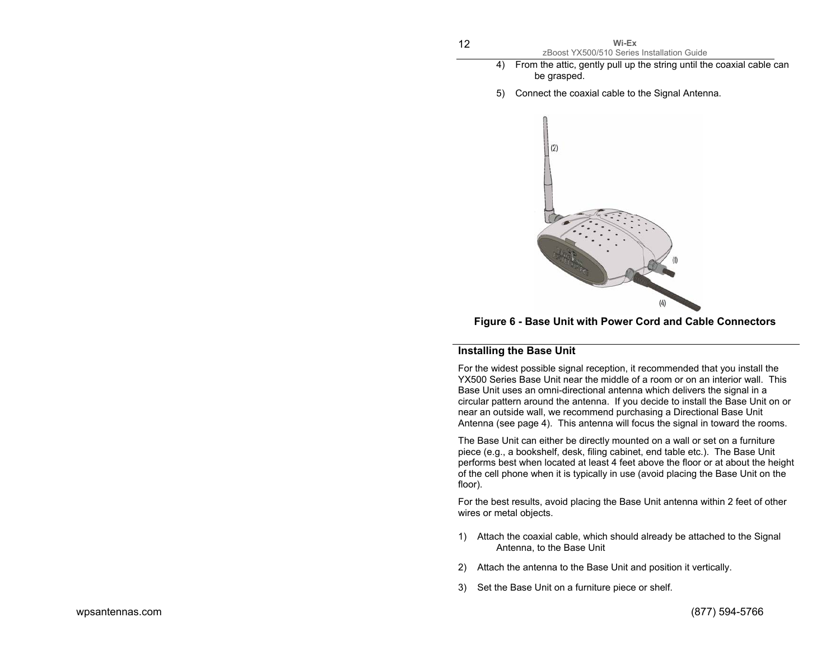| Wi-Ex                                      |  |
|--------------------------------------------|--|
| zBoost YX500/510 Series Installation Guide |  |

- 4) From the attic, gently pull up the string until the coaxial cable can be grasped.
- 5) Connect the coaxial cable to the Signal Antenna.



**Figure 6 - Base Unit with Power Cord and Cable Connectors** 

### **Installing the Base Unit**

For the widest possible signal reception, it recommended that you install the YX500 Series Base Unit near the middle of a room or on an interior wall. This Base Unit uses an omni-directional antenna which delivers the signal in a circular pattern around the antenna. If you decide to install the Base Unit on or near an outside wall, we recommend purchasing a Directional Base Unit Antenna (see page 4). This antenna will focus the signal in toward the rooms.

The Base Unit can either be directly mounted on a wall or set on a furniture piece (e.g., a bookshelf, desk, filing cabinet, end table etc.). The Base Unit performs best when located at least 4 feet above the floor or at about the height of the cell phone when it is typically in use (avoid placing the Base Unit on the floor).

For the best results, avoid placing the Base Unit antenna within 2 feet of other wires or metal objects.

- 1) Attach the coaxial cable, which should already be attached to the Signal Antenna, to the Base Unit
- 2) Attach the antenna to the Base Unit and position it vertically.
- 3) Set the Base Unit on a furniture piece or shelf.

12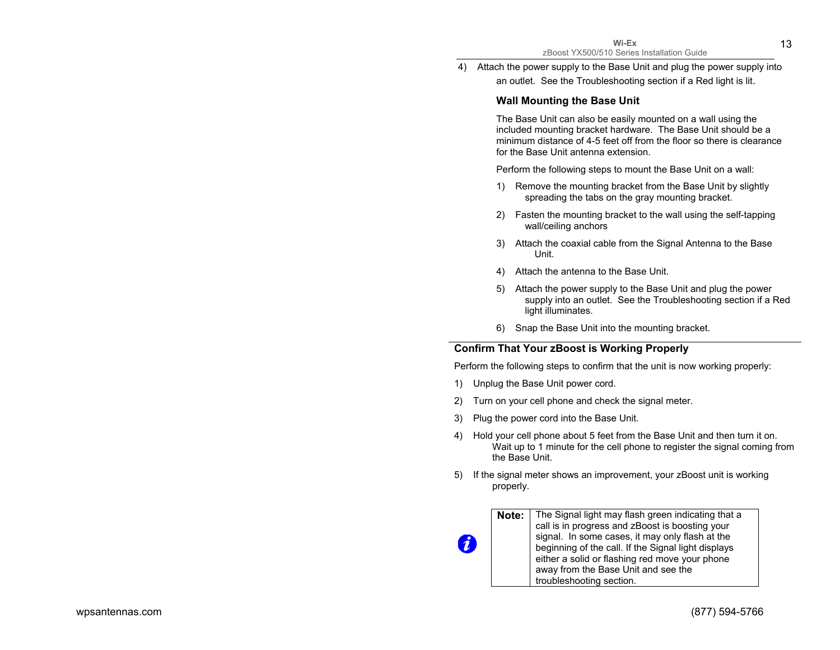4) Attach the power supply to the Base Unit and plug the power supply into an outlet. See the Troubleshooting section if a Red light is lit.

## **Wall Mounting the Base Unit**

The Base Unit can also be easily mounted on a wall using the included mounting bracket hardware. The Base Unit should be a minimum distance of 4-5 feet off from the floor so there is clearance for the Base Unit antenna extension.

Perform the following steps to mount the Base Unit on a wall:

- 1) Remove the mounting bracket from the Base Unit by slightly spreading the tabs on the gray mounting bracket.
- 2) Fasten the mounting bracket to the wall using the self-tapping wall/ceiling anchors
- 3) Attach the coaxial cable from the Signal Antenna to the Base Unit.
- 4) Attach the antenna to the Base Unit.
- 5) Attach the power supply to the Base Unit and plug the power supply into an outlet. See the Troubleshooting section if a Red light illuminates.
- 6) Snap the Base Unit into the mounting bracket.

## **Confirm That Your zBoost is Working Properly**

Perform the following steps to confirm that the unit is now working properly:

1) Unplug the Base Unit power cord.

7

- 2) Turn on your cell phone and check the signal meter.
- 3) Plug the power cord into the Base Unit.
- 4) Hold your cell phone about 5 feet from the Base Unit and then turn it on. Wait up to 1 minute for the cell phone to register the signal coming from the Base Unit.
- 5) If the signal meter shows an improvement, your zBoost unit is working properly.

**Note:** The Signal light may flash green indicating that a call is in progress and zBoost is boosting your signal. In some cases, it may only flash at the beginning of the call. If the Signal light displays either a solid or flashing red move your phone away from the Base Unit and see the troubleshooting section.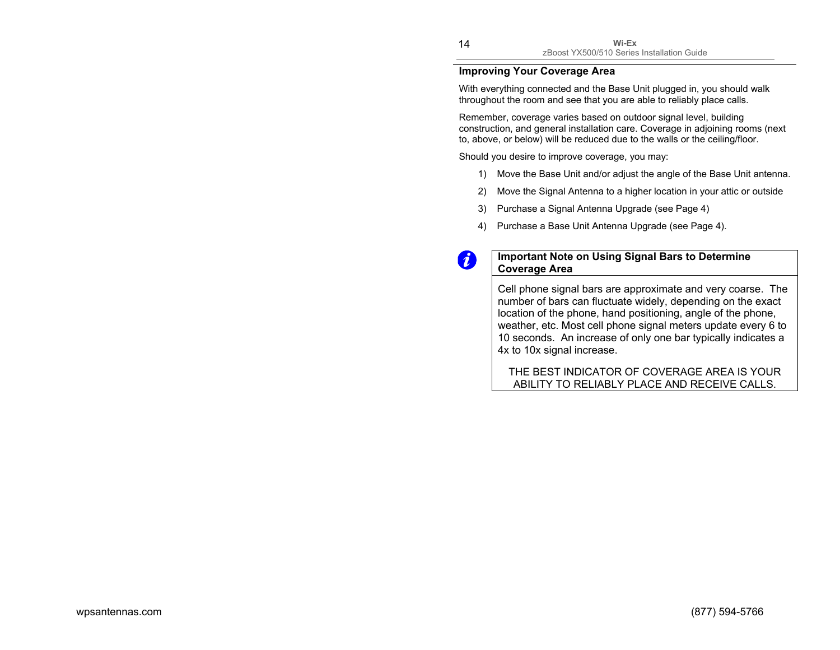## **Improving Your Coverage Area**

With everything connected and the Base Unit plugged in, you should walk throughout the room and see that you are able to reliably place calls.

Remember, coverage varies based on outdoor signal level, building construction, and general installation care. Coverage in adjoining rooms (next to, above, or below) will be reduced due to the walls or the ceiling/floor.

Should you desire to improve coverage, you may:

- 1) Move the Base Unit and/or adjust the angle of the Base Unit antenna.
- 2) Move the Signal Antenna to a higher location in your attic or outside
- 3) Purchase a Signal Antenna Upgrade (see Page 4)
- 4) Purchase a Base Unit Antenna Upgrade (see Page 4).

## **Important Note on Using Signal Bars to Determine Coverage Area**

Cell phone signal bars are approximate and very coarse. The number of bars can fluctuate widely, depending on the exact location of the phone, hand positioning, angle of the phone, weather, etc. Most cell phone signal meters update every 6 to 10 seconds. An increase of only one bar typically indicates a 4x to 10x signal increase.

THE BEST INDICATOR OF COVERAGE AREA IS YOUR ABILITY TO RELIABLY PLACE AND RECEIVE CALLS.

 $\boldsymbol{d}$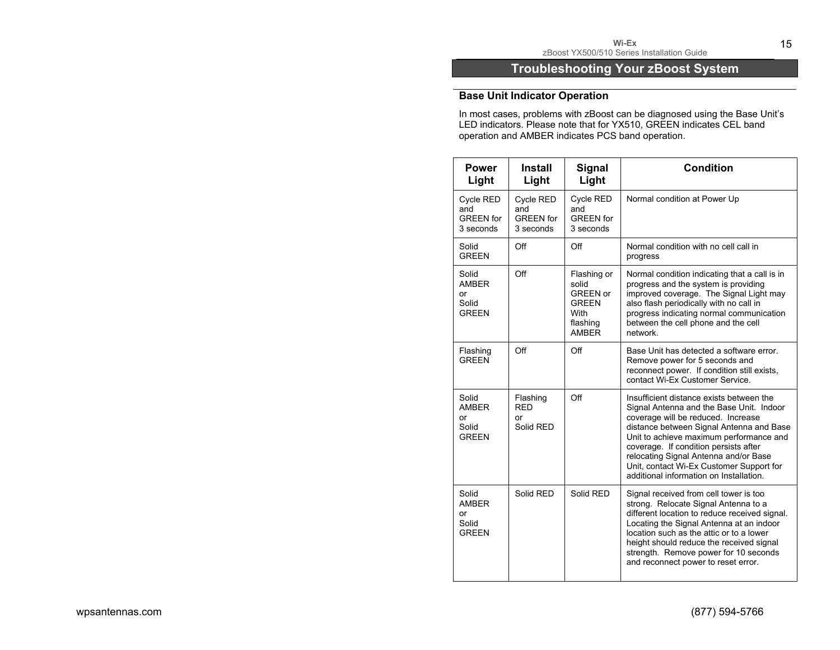# **Troubleshooting Your zBoost System**

# **Base Unit Indicator Operation**

In most cases, problems with zBoost can be diagnosed using the Base Unit's LED indicators. Please note that for YX510, GREEN indicates CEL band operation and AMBER indicates PCS band operation.

| <b>Power</b><br>Light                                | <b>Install</b><br>Light                           | <b>Signal</b><br>Light                                                                      | <b>Condition</b>                                                                                                                                                                                                                                                                                                                                                                           |
|------------------------------------------------------|---------------------------------------------------|---------------------------------------------------------------------------------------------|--------------------------------------------------------------------------------------------------------------------------------------------------------------------------------------------------------------------------------------------------------------------------------------------------------------------------------------------------------------------------------------------|
| Cycle RED<br>and<br><b>GREEN</b> for<br>3 seconds    | Cycle RED<br>and<br><b>GREEN</b> for<br>3 seconds | Cycle RED<br>and<br><b>GREEN</b> for<br>3 seconds                                           | Normal condition at Power Up                                                                                                                                                                                                                                                                                                                                                               |
| Solid<br><b>GREEN</b>                                | Off                                               | Off                                                                                         | Normal condition with no cell call in<br>progress                                                                                                                                                                                                                                                                                                                                          |
| Solid<br>AMBER<br>or<br>Solid<br><b>GREEN</b>        | Off                                               | Flashing or<br>solid<br><b>GREEN or</b><br><b>GREEN</b><br>With<br>flashing<br><b>AMBER</b> | Normal condition indicating that a call is in<br>progress and the system is providing<br>improved coverage. The Signal Light may<br>also flash periodically with no call in<br>progress indicating normal communication<br>between the cell phone and the cell<br>network.                                                                                                                 |
| Flashing<br><b>GREEN</b>                             | Off                                               | Off                                                                                         | Base Unit has detected a software error.<br>Remove power for 5 seconds and<br>reconnect power. If condition still exists,<br>contact Wi-Ex Customer Service.                                                                                                                                                                                                                               |
| Solid<br><b>AMBER</b><br>or<br>Solid<br><b>GREEN</b> | Flashing<br><b>RED</b><br>or<br>Solid RED         | Off                                                                                         | Insufficient distance exists between the<br>Signal Antenna and the Base Unit. Indoor<br>coverage will be reduced. Increase<br>distance between Signal Antenna and Base<br>Unit to achieve maximum performance and<br>coverage. If condition persists after<br>relocating Signal Antenna and/or Base<br>Unit, contact Wi-Ex Customer Support for<br>additional information on Installation. |
| Solid<br><b>AMBER</b><br>or<br>Solid<br><b>GREEN</b> | Solid RED                                         | Solid RFD                                                                                   | Signal received from cell tower is too<br>strong. Relocate Signal Antenna to a<br>different location to reduce received signal.<br>Locating the Signal Antenna at an indoor<br>location such as the attic or to a lower<br>height should reduce the received signal<br>strength. Remove power for 10 seconds<br>and reconnect power to reset error.                                        |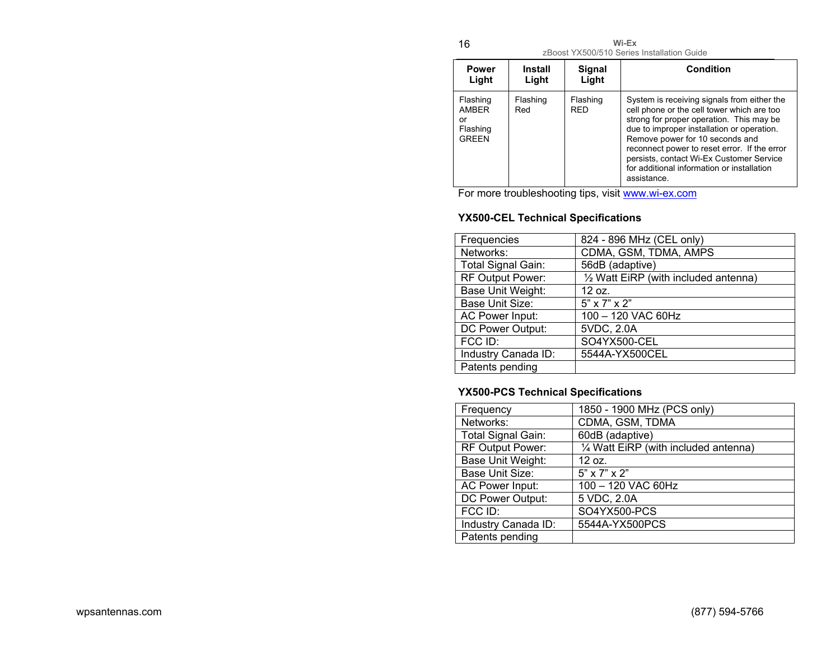16

**Wi-Ex**  zBoost YX500/510 Series Installation Guide

| <b>Power</b><br>Light                               | Install<br>Light | Signal<br>Light        | Condition                                                                                                                                                                                                                                                                                                                                                                       |
|-----------------------------------------------------|------------------|------------------------|---------------------------------------------------------------------------------------------------------------------------------------------------------------------------------------------------------------------------------------------------------------------------------------------------------------------------------------------------------------------------------|
| Flashing<br>AMBER<br>or<br>Flashing<br><b>GREEN</b> | Flashing<br>Red  | Flashing<br><b>RFD</b> | System is receiving signals from either the<br>cell phone or the cell tower which are too<br>strong for proper operation. This may be<br>due to improper installation or operation.<br>Remove power for 10 seconds and<br>reconnect power to reset error. If the error<br>persists, contact Wi-Ex Customer Service<br>for additional information or installation<br>assistance. |

For more troubleshooting tips, visit www.wi-ex.com

# **YX500-CEL Technical Specifications**

| Frequencies         | 824 - 896 MHz (CEL only)              |
|---------------------|---------------------------------------|
| Networks:           | CDMA, GSM, TDMA, AMPS                 |
| Total Signal Gain:  | 56dB (adaptive)                       |
| RF Output Power:    | 1/2 Watt EiRP (with included antenna) |
| Base Unit Weight:   | 12 oz.                                |
| Base Unit Size:     | $5" \times 7" \times 2"$              |
| AC Power Input:     | 100 - 120 VAC 60Hz                    |
| DC Power Output:    | 5VDC, 2.0A                            |
| FCC ID:             | SO4YX500-CEL                          |
| Industry Canada ID: | 5544A-YX500CEL                        |
| Patents pending     |                                       |

# **YX500-PCS Technical Specifications**

| Frequency           | 1850 - 1900 MHz (PCS only)            |
|---------------------|---------------------------------------|
| Networks:           | CDMA, GSM, TDMA                       |
| Total Signal Gain:  | 60dB (adaptive)                       |
| RF Output Power:    | 1/4 Watt EiRP (with included antenna) |
| Base Unit Weight:   | 12 oz.                                |
| Base Unit Size:     | $5" \times 7" \times 2"$              |
| AC Power Input:     | 100 - 120 VAC 60Hz                    |
| DC Power Output:    | 5 VDC, 2.0A                           |
| FCC ID:             | SO4YX500-PCS                          |
| Industry Canada ID: | 5544A-YX500PCS                        |
| Patents pending     |                                       |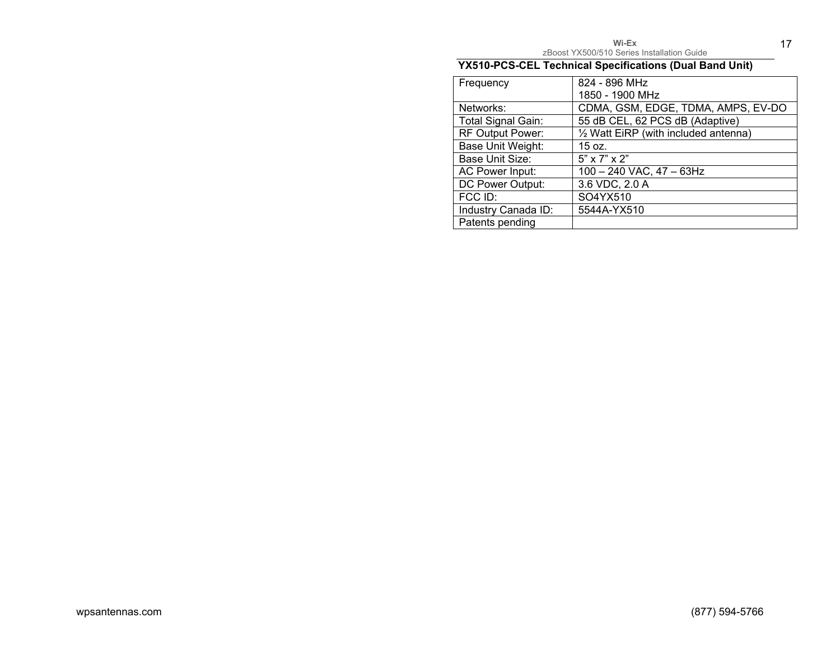| $Wi$ -Ex                                   |  |
|--------------------------------------------|--|
| zBoost YX500/510 Series Installation Guide |  |

17

# **YX510-PCS-CEL Technical Specifications (Dual Band Unit)**

| Frequency           | 824 - 896 MHz                         |
|---------------------|---------------------------------------|
|                     | 1850 - 1900 MHz                       |
| Networks:           | CDMA, GSM, EDGE, TDMA, AMPS, EV-DO    |
| Total Signal Gain:  | 55 dB CEL, 62 PCS dB (Adaptive)       |
| RF Output Power:    | 1/2 Watt EiRP (with included antenna) |
| Base Unit Weight:   | 15 oz.                                |
| Base Unit Size:     | $5" \times 7" \times 2"$              |
| AC Power Input:     | 100 - 240 VAC, 47 - 63Hz              |
| DC Power Output:    | 3.6 VDC, 2.0 A                        |
| FCC ID:             | SO4YX510                              |
| Industry Canada ID: | 5544A-YX510                           |
| Patents pending     |                                       |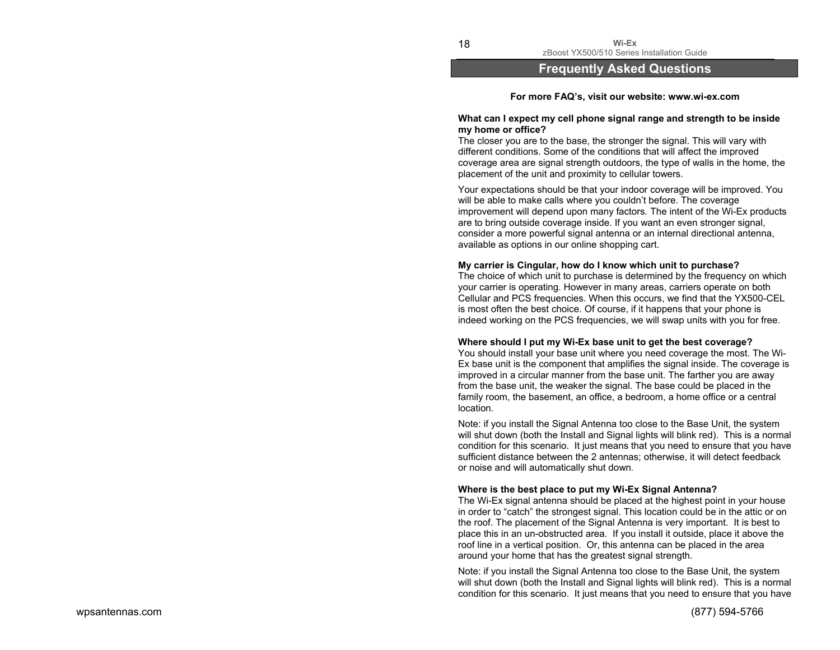zBoost YX500/510 Series Installation Guide

## **Frequently Asked Questions**

**Wi-Ex** 

#### **For more FAQ's, visit our website: www.wi-ex.com**

#### **What can I expect my cell phone signal range and strength to be inside my home or office?**

The closer you are to the base, the stronger the signal. This will vary with different conditions. Some of the conditions that will affect the improved coverage area are signal strength outdoors, the type of walls in the home, the placement of the unit and proximity to cellular towers.

Your expectations should be that your indoor coverage will be improved. You will be able to make calls where you couldn't before. The coverage improvement will depend upon many factors. The intent of the Wi-Ex products are to bring outside coverage inside. If you want an even stronger signal, consider a more powerful signal antenna or an internal directional antenna, available as options in our online shopping cart.

#### **My carrier is Cingular, how do I know which unit to purchase?**

The choice of which unit to purchase is determined by the frequency on which your carrier is operating. However in many areas, carriers operate on both Cellular and PCS frequencies. When this occurs, we find that the YX500-CEL is most often the best choice. Of course, if it happens that your phone is indeed working on the PCS frequencies, we will swap units with you for free.

#### **Where should I put my Wi-Ex base unit to get the best coverage?**

You should install your base unit where you need coverage the most. The Wi-Ex base unit is the component that amplifies the signal inside. The coverage is improved in a circular manner from the base unit. The farther you are away from the base unit, the weaker the signal. The base could be placed in the family room, the basement, an office, a bedroom, a home office or a central location.

Note: if you install the Signal Antenna too close to the Base Unit, the system will shut down (both the Install and Signal lights will blink red). This is a normal condition for this scenario. It just means that you need to ensure that you have sufficient distance between the 2 antennas; otherwise, it will detect feedback or noise and will automatically shut down.

#### **Where is the best place to put my Wi-Ex Signal Antenna?**

The Wi-Ex signal antenna should be placed at the highest point in your house in order to "catch" the strongest signal. This location could be in the attic or on the roof. The placement of the Signal Antenna is very important. It is best to place this in an un-obstructed area. If you install it outside, place it above the roof line in a vertical position. Or, this antenna can be placed in the area around your home that has the greatest signal strength.

Note: if you install the Signal Antenna too close to the Base Unit, the system will shut down (both the Install and Signal lights will blink red). This is a normal condition for this scenario. It just means that you need to ensure that you have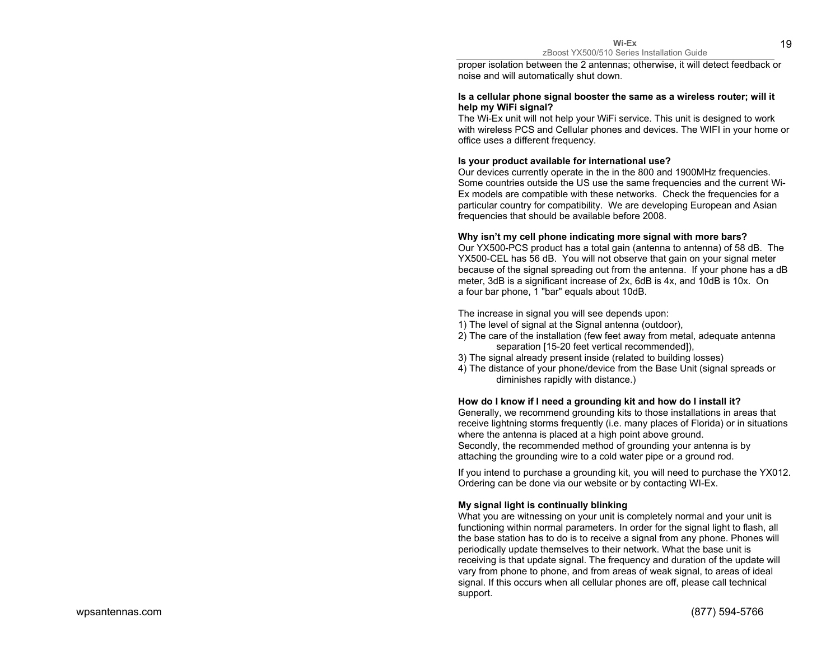proper isolation between the 2 antennas; otherwise, it will detect feedback or noise and will automatically shut down.

#### **Is a cellular phone signal booster the same as a wireless router; will it help my WiFi signal?**

The Wi-Ex unit will not help your WiFi service. This unit is designed to work with wireless PCS and Cellular phones and devices. The WIFI in your home or office uses a different frequency.

#### **Is your product available for international use?**

Our devices currently operate in the in the 800 and 1900MHz frequencies. Some countries outside the US use the same frequencies and the current Wi-Ex models are compatible with these networks. Check the frequencies for a particular country for compatibility. We are developing European and Asian frequencies that should be available before 2008.

#### **Why isn't my cell phone indicating more signal with more bars?**

Our YX500-PCS product has a total gain (antenna to antenna) of 58 dB. The YX500-CEL has 56 dB. You will not observe that gain on your signal meter because of the signal spreading out from the antenna. If your phone has a dB meter, 3dB is a significant increase of 2x, 6dB is 4x, and 10dB is 10x. On a four bar phone, 1 "bar" equals about 10dB.

The increase in signal you will see depends upon:

- 1) The level of signal at the Signal antenna (outdoor),
- 2) The care of the installation (few feet away from metal, adequate antenna separation [15-20 feet vertical recommended]),
- 3) The signal already present inside (related to building losses)
- 4) The distance of your phone/device from the Base Unit (signal spreads or diminishes rapidly with distance.)

#### **How do I know if I need a grounding kit and how do I install it?**

Generally, we recommend grounding kits to those installations in areas that receive lightning storms frequently (i.e. many places of Florida) or in situations where the antenna is placed at a high point above ground. Secondly, the recommended method of grounding your antenna is by attaching the grounding wire to a cold water pipe or a ground rod.

If you intend to purchase a grounding kit, you will need to purchase the YX012. Ordering can be done via our website or by contacting WI-Ex.

#### **My signal light is continually blinking**

What you are witnessing on your unit is completely normal and your unit is functioning within normal parameters. In order for the signal light to flash, all the base station has to do is to receive a signal from any phone. Phones will periodically update themselves to their network. What the base unit is receiving is that update signal. The frequency and duration of the update will vary from phone to phone, and from areas of weak signal, to areas of ideal signal. If this occurs when all cellular phones are off, please call technical support.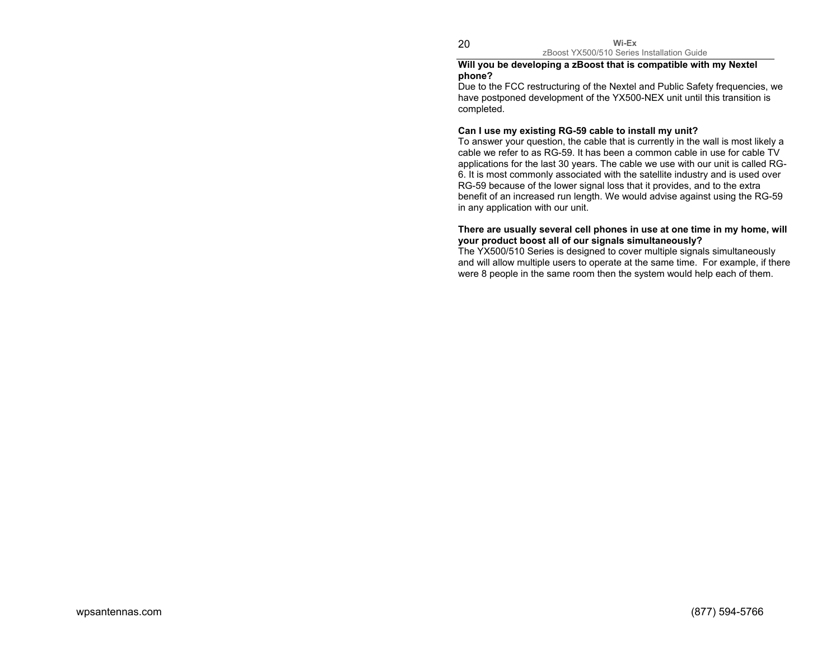**Wi-Ex** zBoost YX500/510 Series Installation Guide

#### **Will you be developing a zBoost that is compatible with my Nextel phone?**

Due to the FCC restructuring of the Nextel and Public Safety frequencies, we have postponed development of the YX500-NEX unit until this transition is completed.

#### **Can I use my existing RG-59 cable to install my unit?**

To answer your question, the cable that is currently in the wall is most likely a cable we refer to as RG-59. It has been a common cable in use for cable TV applications for the last 30 years. The cable we use with our unit is called RG-6. It is most commonly associated with the satellite industry and is used over RG-59 because of the lower signal loss that it provides, and to the extra benefit of an increased run length. We would advise against using the RG-59 in any application with our unit.

#### **There are usually several cell phones in use at one time in my home, will your product boost all of our signals simultaneously?**

The YX500/510 Series is designed to cover multiple signals simultaneously and will allow multiple users to operate at the same time. For example, if there were 8 people in the same room then the system would help each of them.

20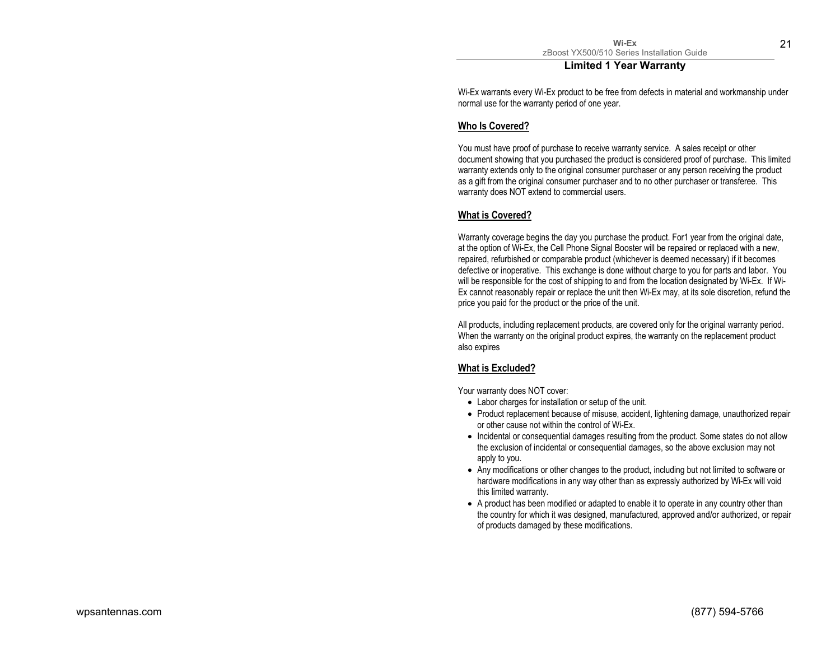### **Limited 1 Year Warranty**

Wi-Ex warrants every Wi-Ex product to be free from defects in material and workmanship under normal use for the warranty period of one year.

### **Who Is Covered?**

You must have proof of purchase to receive warranty service. A sales receipt or other document showing that you purchased the product is considered proof of purchase. This limited warranty extends only to the original consumer purchaser or any person receiving the product as a gift from the original consumer purchaser and to no other purchaser or transferee. This warranty does NOT extend to commercial users.

### **What is Covered?**

Warranty coverage begins the day you purchase the product. For1 year from the original date, at the option of Wi-Ex, the Cell Phone Signal Booster will be repaired or replaced with a new, repaired, refurbished or comparable product (whichever is deemed necessary) if it becomes defective or inoperative. This exchange is done without charge to you for parts and labor. You will be responsible for the cost of shipping to and from the location designated by Wi-Ex. If Wi-Ex cannot reasonably repair or replace the unit then Wi-Ex may, at its sole discretion, refund the price you paid for the product or the price of the unit.

All products, including replacement products, are covered only for the original warranty period. When the warranty on the original product expires, the warranty on the replacement product also expires

### **What is Excluded?**

Your warranty does NOT cover:

- Labor charges for installation or setup of the unit.
- Product replacement because of misuse, accident, lightening damage, unauthorized repair or other cause not within the control of Wi-Ex.
- Incidental or consequential damages resulting from the product. Some states do not allow the exclusion of incidental or consequential damages, so the above exclusion may not apply to you.
- Any modifications or other changes to the product, including but not limited to software or hardware modifications in any way other than as expressly authorized by Wi-Ex will void this limited warranty.
- A product has been modified or adapted to enable it to operate in any country other than the country for which it was designed, manufactured, approved and/or authorized, or repair of products damaged by these modifications.